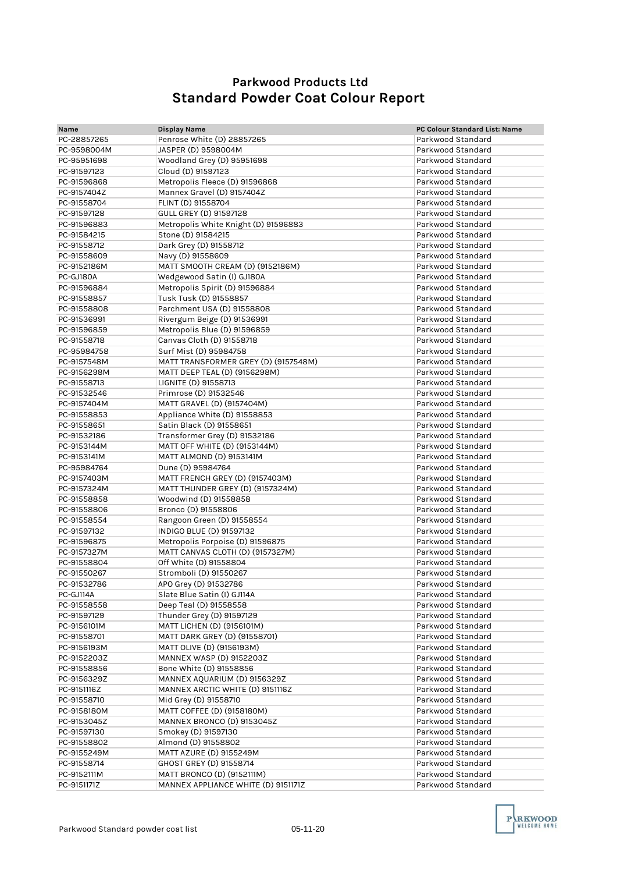## **Parkwood Products Ltd Standard Powder Coat Colour Report**

| Name        | Display Name                                 | PC Colour Standard List: Name |
|-------------|----------------------------------------------|-------------------------------|
| PC-28857265 | Penrose White (D) 28857265                   | Parkwood Standard             |
| PC-9598004M | JASPER (D) 9598004M                          | Parkwood Standard             |
| PC-95951698 | Woodland Grey (D) 95951698                   | Parkwood Standard             |
| PC-91597123 | Cloud (D) 91597123                           | Parkwood Standard             |
| PC-91596868 | Metropolis Fleece (D) 91596868               | Parkwood Standard             |
| PC-9157404Z | Mannex Gravel (D) 9157404Z                   | Parkwood Standard             |
|             | FLINT (D) 91558704                           | Parkwood Standard             |
| PC-91558704 |                                              | Parkwood Standard             |
| PC-91597128 | GULL GREY (D) 91597128                       | Parkwood Standard             |
| PC-91596883 | Metropolis White Knight (D) 91596883         | Parkwood Standard             |
| PC-91584215 | Stone (D) 91584215<br>Dark Grey (D) 91558712 | Parkwood Standard             |
| PC-91558712 |                                              |                               |
| PC-91558609 | Navy (D) 91558609                            | Parkwood Standard             |
| PC-9152186M | MATT SMOOTH CREAM (D) (9152186M)             | Parkwood Standard             |
| PC-GJ180A   | Wedgewood Satin (I) GJ180A                   | Parkwood Standard             |
| PC-91596884 | Metropolis Spirit (D) 91596884               | Parkwood Standard             |
| PC-91558857 | Tusk Tusk (D) 91558857                       | Parkwood Standard             |
| PC-91558808 | Parchment USA (D) 91558808                   | Parkwood Standard             |
| PC-91536991 | Rivergum Beige (D) 91536991                  | Parkwood Standard             |
| PC-91596859 | Metropolis Blue (D) 91596859                 | Parkwood Standard             |
| PC-91558718 | Canvas Cloth (D) 91558718                    | Parkwood Standard             |
| PC-95984758 | Surf Mist (D) 95984758                       | Parkwood Standard             |
| PC-9157548M | MATT TRANSFORMER GREY (D) (9157548M)         | Parkwood Standard             |
| PC-9156298M | MATT DEEP TEAL (D) (9156298M)                | Parkwood Standard             |
| PC-91558713 | LIGNITE (D) 91558713                         | Parkwood Standard             |
| PC-91532546 | Primrose (D) 91532546                        | Parkwood Standard             |
| PC-9157404M | MATT GRAVEL (D) (9157404M)                   | Parkwood Standard             |
| PC-91558853 | Appliance White (D) 91558853                 | Parkwood Standard             |
| PC-91558651 | Satin Black (D) 91558651                     | Parkwood Standard             |
| PC-91532186 | Transformer Grey (D) 91532186                | Parkwood Standard             |
| PC-9153144M | MATT OFF WHITE (D) (9153144M)                | Parkwood Standard             |
| PC-9153141M | MATT ALMOND (D) 9153141M                     | Parkwood Standard             |
| PC-95984764 | Dune (D) 95984764                            | Parkwood Standard             |
| PC-9157403M | MATT FRENCH GREY (D) (9157403M)              | Parkwood Standard             |
| PC-9157324M | MATT THUNDER GREY (D) (9157324M)             | Parkwood Standard             |
| PC-91558858 | Woodwind (D) 91558858                        | Parkwood Standard             |
| PC-91558806 | Bronco (D) 91558806                          | Parkwood Standard             |
| PC-91558554 | Rangoon Green (D) 91558554                   | Parkwood Standard             |
| PC-91597132 | INDIGO BLUE (D) 91597132                     | Parkwood Standard             |
| PC-91596875 | Metropolis Porpoise (D) 91596875             | Parkwood Standard             |
| PC-9157327M | MATT CANVAS CLOTH (D) (9157327M)             | Parkwood Standard             |
| PC-91558804 | Off White (D) 91558804                       | Parkwood Standard             |
| PC-91550267 | Stromboli (D) 91550267                       | Parkwood Standard             |
| PC-91532786 | APO Grey (D) 91532786                        | Parkwood Standard             |
| PC-GJ114A   | Slate Blue Satin (I) GJ114A                  | Parkwood Standard             |
| PC-91558558 | Deep Teal (D) 91558558                       | Parkwood Standard             |
| PC-91597129 | Thunder Grey (D) 91597129                    | Parkwood Standard             |
| PC-9156101M | MATT LICHEN (D) (9156101M)                   | Parkwood Standard             |
| PC-91558701 | MATT DARK GREY (D) (91558701)                | Parkwood Standard             |
| PC-9156193M | MATT OLIVE (D) (9156193M)                    | Parkwood Standard             |
| PC-9152203Z | MANNEX WASP (D) 9152203Z                     | Parkwood Standard             |
| PC-91558856 | Bone White (D) 91558856                      | Parkwood Standard             |
| PC-9156329Z | MANNEX AQUARIUM (D) 9156329Z                 | Parkwood Standard             |
| PC-9151116Z | MANNEX ARCTIC WHITE (D) 9151116Z             | Parkwood Standard             |
| PC-91558710 | Mid Grey (D) 91558710                        | Parkwood Standard             |
| PC-9158180M | MATT COFFEE (D) (9158180M)                   | Parkwood Standard             |
| PC-9153045Z | MANNEX BRONCO (D) 9153045Z                   | Parkwood Standard             |
| PC-91597130 | Smokey (D) 91597130                          | Parkwood Standard             |
| PC-91558802 | Almond (D) 91558802                          | Parkwood Standard             |
| PC-9155249M | MATT AZURE (D) 9155249M                      | Parkwood Standard             |
| PC-91558714 | GHOST GREY (D) 91558714                      | Parkwood Standard             |
| PC-9152111M | MATT BRONCO (D) (9152111M)                   | Parkwood Standard             |
| PC-9151171Z | MANNEX APPLIANCE WHITE (D) 9151171Z          | Parkwood Standard             |